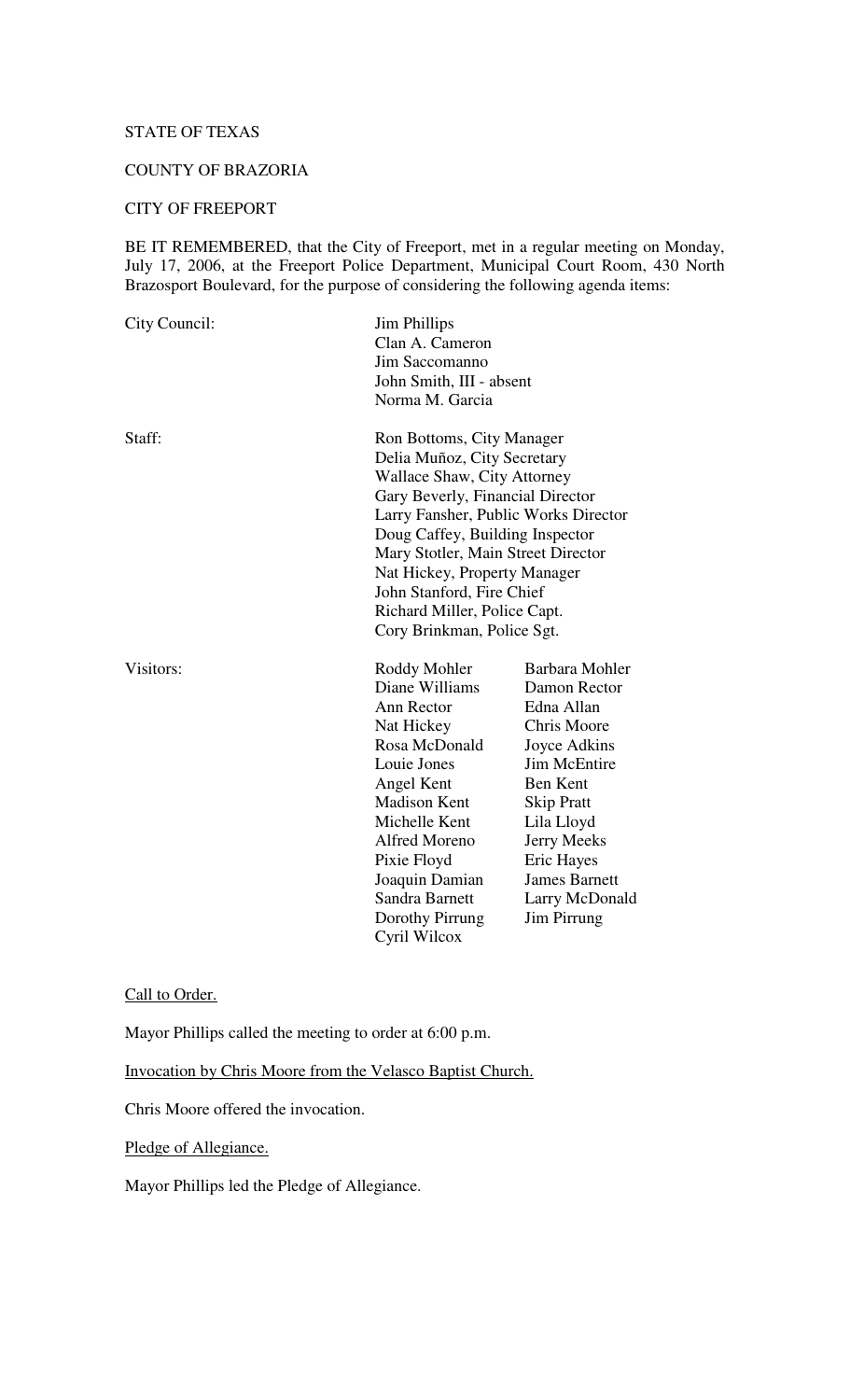## STATE OF TEXAS

# COUNTY OF BRAZORIA

# CITY OF FREEPORT

BE IT REMEMBERED, that the City of Freeport, met in a regular meeting on Monday, July 17, 2006, at the Freeport Police Department, Municipal Court Room, 430 North Brazosport Boulevard, for the purpose of considering the following agenda items:

| City Council: | <b>Jim Phillips</b><br>Clan A. Cameron<br>Jim Saccomanno<br>Norma M. Garcia                                                                                                                                                                                                                                                                                                    | John Smith, III - absent                                                                                                                                                                                                                              |  |
|---------------|--------------------------------------------------------------------------------------------------------------------------------------------------------------------------------------------------------------------------------------------------------------------------------------------------------------------------------------------------------------------------------|-------------------------------------------------------------------------------------------------------------------------------------------------------------------------------------------------------------------------------------------------------|--|
| Staff:        | Ron Bottoms, City Manager<br>Delia Muñoz, City Secretary<br><b>Wallace Shaw, City Attorney</b><br>Gary Beverly, Financial Director<br>Larry Fansher, Public Works Director<br>Doug Caffey, Building Inspector<br>Mary Stotler, Main Street Director<br>Nat Hickey, Property Manager<br>John Stanford, Fire Chief<br>Richard Miller, Police Capt.<br>Cory Brinkman, Police Sgt. |                                                                                                                                                                                                                                                       |  |
| Visitors:     | Roddy Mohler<br>Diane Williams<br>Ann Rector<br>Nat Hickey<br>Rosa McDonald<br>Louie Jones<br>Angel Kent<br><b>Madison Kent</b><br>Michelle Kent<br>Alfred Moreno<br>Pixie Floyd<br>Joaquin Damian<br>Sandra Barnett<br>Dorothy Pirrung<br>Cyril Wilcox                                                                                                                        | Barbara Mohler<br>Damon Rector<br>Edna Allan<br>Chris Moore<br>Joyce Adkins<br><b>Jim McEntire</b><br>Ben Kent<br><b>Skip Pratt</b><br>Lila Lloyd<br><b>Jerry Meeks</b><br><b>Eric Hayes</b><br><b>James Barnett</b><br>Larry McDonald<br>Jim Pirrung |  |

## Call to Order.

Mayor Phillips called the meeting to order at 6:00 p.m.

Invocation by Chris Moore from the Velasco Baptist Church.

Chris Moore offered the invocation.

Pledge of Allegiance.

Mayor Phillips led the Pledge of Allegiance.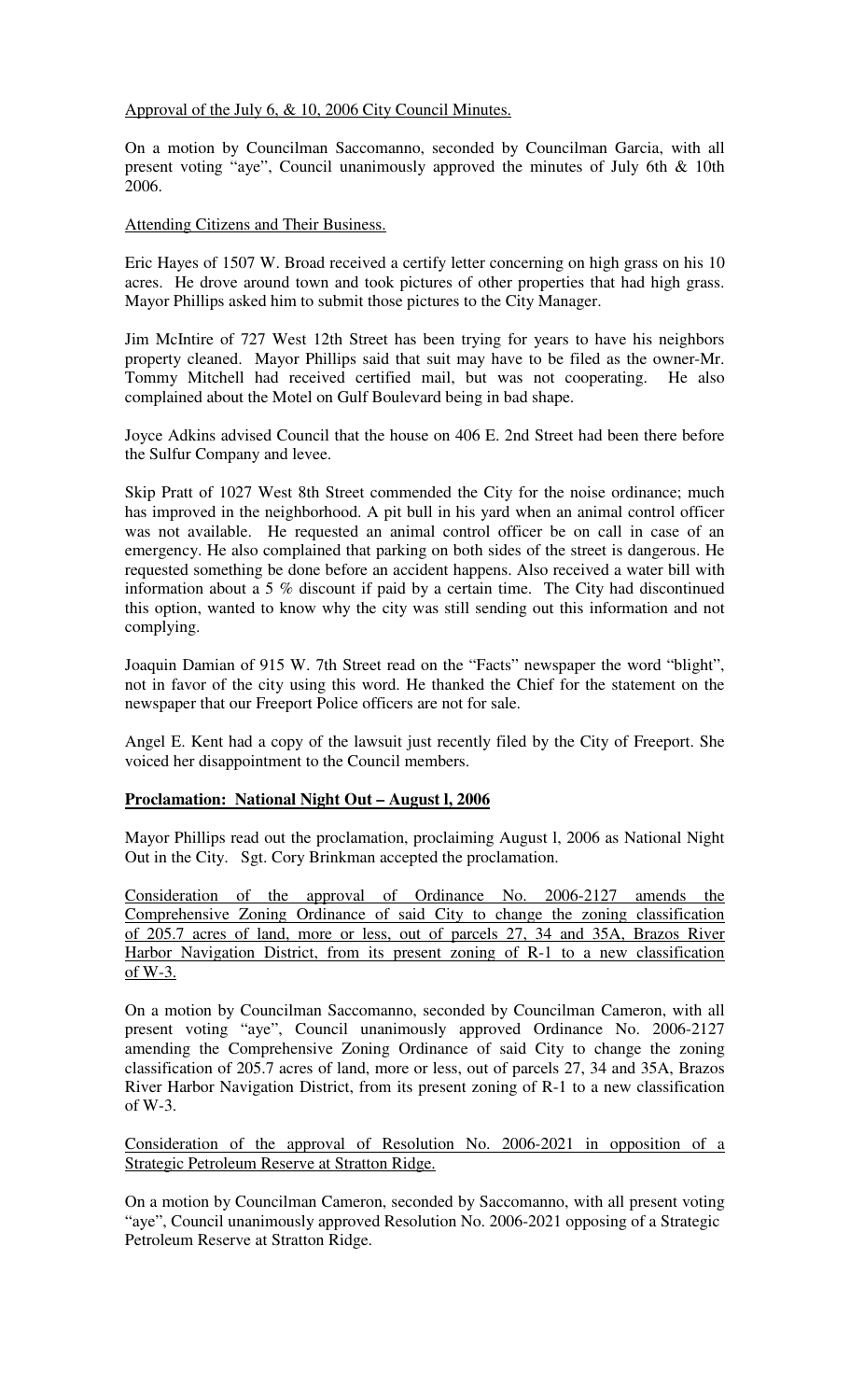Approval of the July 6, & 10, 2006 City Council Minutes.

On a motion by Councilman Saccomanno, seconded by Councilman Garcia, with all present voting "aye", Council unanimously approved the minutes of July 6th & 10th 2006.

#### Attending Citizens and Their Business.

Eric Hayes of 1507 W. Broad received a certify letter concerning on high grass on his 10 acres. He drove around town and took pictures of other properties that had high grass. Mayor Phillips asked him to submit those pictures to the City Manager.

Jim McIntire of 727 West 12th Street has been trying for years to have his neighbors property cleaned. Mayor Phillips said that suit may have to be filed as the owner-Mr. Tommy Mitchell had received certified mail, but was not cooperating. He also complained about the Motel on Gulf Boulevard being in bad shape.

Joyce Adkins advised Council that the house on 406 E. 2nd Street had been there before the Sulfur Company and levee.

Skip Pratt of 1027 West 8th Street commended the City for the noise ordinance; much has improved in the neighborhood. A pit bull in his yard when an animal control officer was not available. He requested an animal control officer be on call in case of an emergency. He also complained that parking on both sides of the street is dangerous. He requested something be done before an accident happens. Also received a water bill with information about a 5 % discount if paid by a certain time. The City had discontinued this option, wanted to know why the city was still sending out this information and not complying.

Joaquin Damian of 915 W. 7th Street read on the "Facts" newspaper the word "blight", not in favor of the city using this word. He thanked the Chief for the statement on the newspaper that our Freeport Police officers are not for sale.

Angel E. Kent had a copy of the lawsuit just recently filed by the City of Freeport. She voiced her disappointment to the Council members.

## **Proclamation: National Night Out – August l, 2006**

Mayor Phillips read out the proclamation, proclaiming August l, 2006 as National Night Out in the City. Sgt. Cory Brinkman accepted the proclamation.

Consideration of the approval of Ordinance No. 2006-2127 amends the Comprehensive Zoning Ordinance of said City to change the zoning classification of 205.7 acres of land, more or less, out of parcels 27, 34 and 35A, Brazos River Harbor Navigation District, from its present zoning of R-1 to a new classification of W-3.

On a motion by Councilman Saccomanno, seconded by Councilman Cameron, with all present voting "aye", Council unanimously approved Ordinance No. 2006-2127 amending the Comprehensive Zoning Ordinance of said City to change the zoning classification of 205.7 acres of land, more or less, out of parcels 27, 34 and 35A, Brazos River Harbor Navigation District, from its present zoning of R-1 to a new classification of W-3.

Consideration of the approval of Resolution No. 2006-2021 in opposition of a Strategic Petroleum Reserve at Stratton Ridge.

On a motion by Councilman Cameron, seconded by Saccomanno, with all present voting "aye", Council unanimously approved Resolution No. 2006-2021 opposing of a Strategic Petroleum Reserve at Stratton Ridge.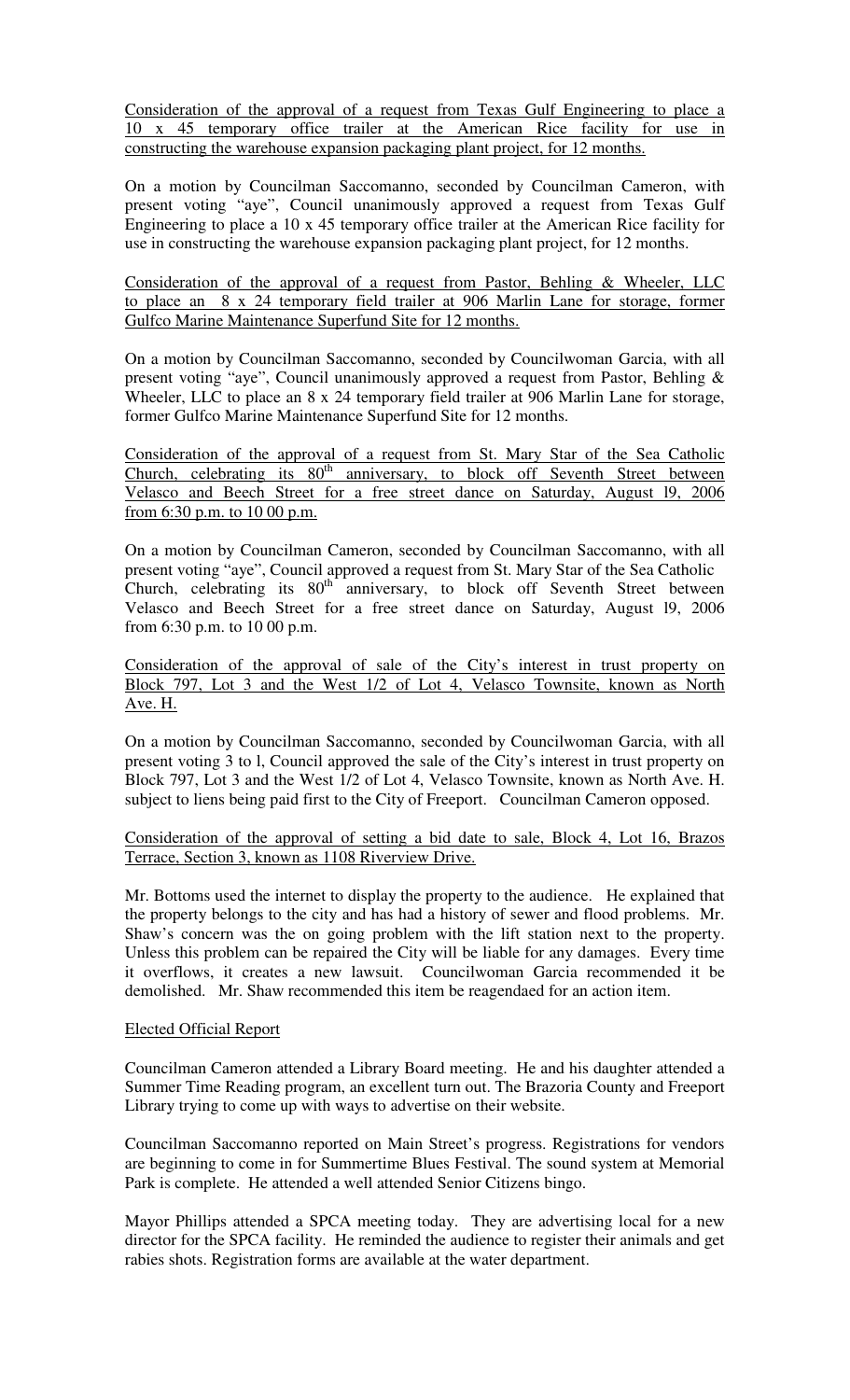Consideration of the approval of a request from Texas Gulf Engineering to place a 10 x 45 temporary office trailer at the American Rice facility for use in constructing the warehouse expansion packaging plant project, for 12 months.

On a motion by Councilman Saccomanno, seconded by Councilman Cameron, with present voting "aye", Council unanimously approved a request from Texas Gulf Engineering to place a 10 x 45 temporary office trailer at the American Rice facility for use in constructing the warehouse expansion packaging plant project, for 12 months.

Consideration of the approval of a request from Pastor, Behling & Wheeler, LLC to place an 8 x 24 temporary field trailer at 906 Marlin Lane for storage, former Gulfco Marine Maintenance Superfund Site for 12 months.

On a motion by Councilman Saccomanno, seconded by Councilwoman Garcia, with all present voting "aye", Council unanimously approved a request from Pastor, Behling & Wheeler, LLC to place an 8 x 24 temporary field trailer at 906 Marlin Lane for storage, former Gulfco Marine Maintenance Superfund Site for 12 months.

Consideration of the approval of a request from St. Mary Star of the Sea Catholic Church, celebrating its 80<sup>th</sup> anniversary, to block off Seventh Street between Velasco and Beech Street for a free street dance on Saturday, August l9, 2006 from 6:30 p.m. to 10 00 p.m.

On a motion by Councilman Cameron, seconded by Councilman Saccomanno, with all present voting "aye", Council approved a request from St. Mary Star of the Sea Catholic Church, celebrating its  $80^{th}$  anniversary, to block off Seventh Street between Velasco and Beech Street for a free street dance on Saturday, August l9, 2006 from 6:30 p.m. to 10 00 p.m.

Consideration of the approval of sale of the City's interest in trust property on Block 797, Lot 3 and the West 1/2 of Lot 4, Velasco Townsite, known as North Ave. H.

On a motion by Councilman Saccomanno, seconded by Councilwoman Garcia, with all present voting 3 to l, Council approved the sale of the City's interest in trust property on Block 797, Lot 3 and the West 1/2 of Lot 4, Velasco Townsite, known as North Ave. H. subject to liens being paid first to the City of Freeport. Councilman Cameron opposed.

Consideration of the approval of setting a bid date to sale, Block 4, Lot 16, Brazos Terrace, Section 3, known as 1108 Riverview Drive.

Mr. Bottoms used the internet to display the property to the audience. He explained that the property belongs to the city and has had a history of sewer and flood problems. Mr. Shaw's concern was the on going problem with the lift station next to the property. Unless this problem can be repaired the City will be liable for any damages. Every time it overflows, it creates a new lawsuit. Councilwoman Garcia recommended it be demolished. Mr. Shaw recommended this item be reagendaed for an action item.

## Elected Official Report

Councilman Cameron attended a Library Board meeting. He and his daughter attended a Summer Time Reading program, an excellent turn out. The Brazoria County and Freeport Library trying to come up with ways to advertise on their website.

Councilman Saccomanno reported on Main Street's progress. Registrations for vendors are beginning to come in for Summertime Blues Festival. The sound system at Memorial Park is complete. He attended a well attended Senior Citizens bingo.

Mayor Phillips attended a SPCA meeting today. They are advertising local for a new director for the SPCA facility. He reminded the audience to register their animals and get rabies shots. Registration forms are available at the water department.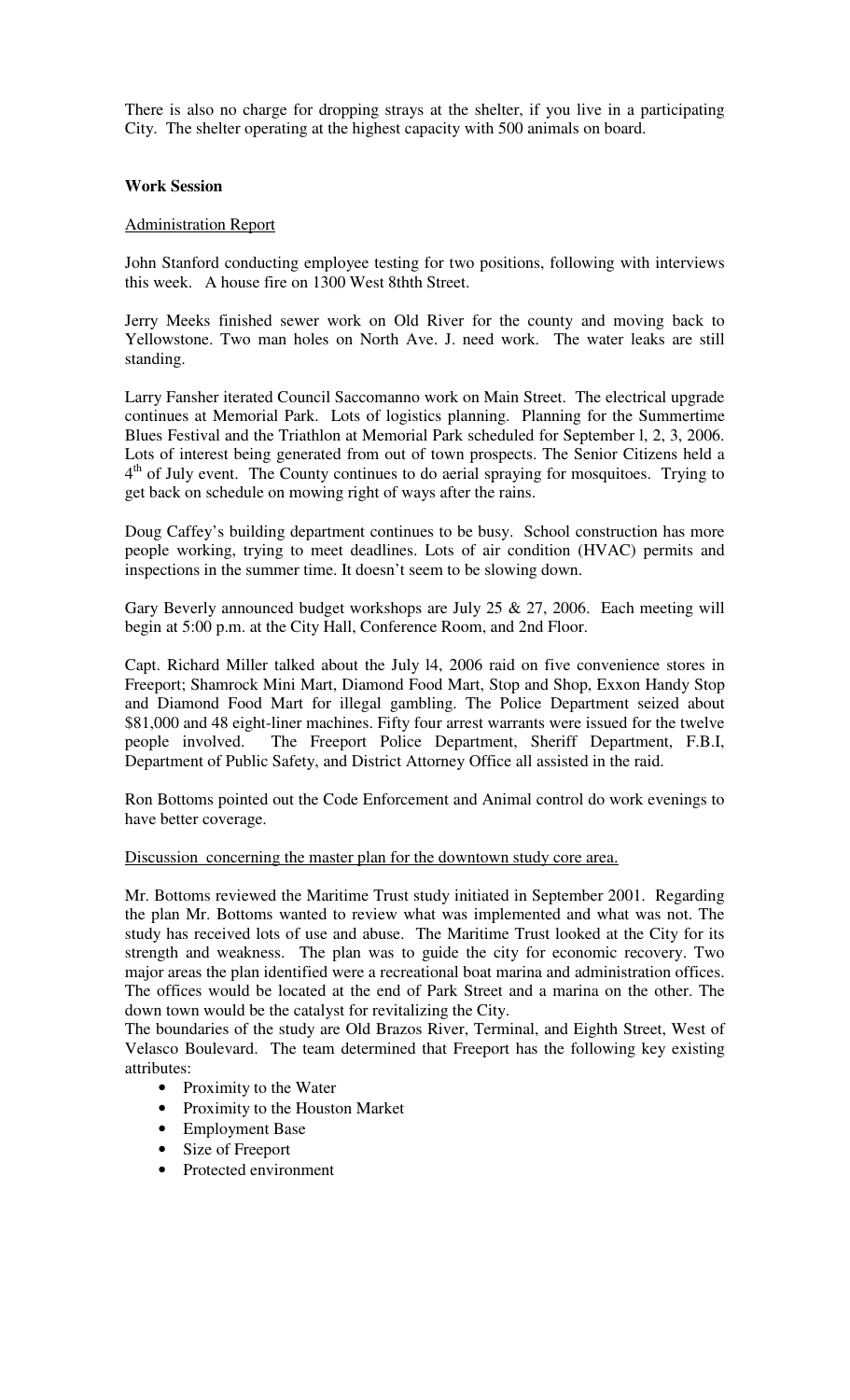There is also no charge for dropping strays at the shelter, if you live in a participating City. The shelter operating at the highest capacity with 500 animals on board.

#### **Work Session**

#### Administration Report

John Stanford conducting employee testing for two positions, following with interviews this week. A house fire on 1300 West 8thth Street.

Jerry Meeks finished sewer work on Old River for the county and moving back to Yellowstone. Two man holes on North Ave. J. need work. The water leaks are still standing.

Larry Fansher iterated Council Saccomanno work on Main Street. The electrical upgrade continues at Memorial Park. Lots of logistics planning. Planning for the Summertime Blues Festival and the Triathlon at Memorial Park scheduled for September l, 2, 3, 2006. Lots of interest being generated from out of town prospects. The Senior Citizens held a 4<sup>th</sup> of July event. The County continues to do aerial spraying for mosquitoes. Trying to get back on schedule on mowing right of ways after the rains.

Doug Caffey's building department continues to be busy. School construction has more people working, trying to meet deadlines. Lots of air condition (HVAC) permits and inspections in the summer time. It doesn't seem to be slowing down.

Gary Beverly announced budget workshops are July 25 & 27, 2006. Each meeting will begin at 5:00 p.m. at the City Hall, Conference Room, and 2nd Floor.

Capt. Richard Miller talked about the July l4, 2006 raid on five convenience stores in Freeport; Shamrock Mini Mart, Diamond Food Mart, Stop and Shop, Exxon Handy Stop and Diamond Food Mart for illegal gambling. The Police Department seized about \$81,000 and 48 eight-liner machines. Fifty four arrest warrants were issued for the twelve people involved. The Freeport Police Department, Sheriff Department, F.B.I, Department of Public Safety, and District Attorney Office all assisted in the raid.

Ron Bottoms pointed out the Code Enforcement and Animal control do work evenings to have better coverage.

#### Discussion concerning the master plan for the downtown study core area.

Mr. Bottoms reviewed the Maritime Trust study initiated in September 2001. Regarding the plan Mr. Bottoms wanted to review what was implemented and what was not. The study has received lots of use and abuse. The Maritime Trust looked at the City for its strength and weakness. The plan was to guide the city for economic recovery. Two major areas the plan identified were a recreational boat marina and administration offices. The offices would be located at the end of Park Street and a marina on the other. The down town would be the catalyst for revitalizing the City.

The boundaries of the study are Old Brazos River, Terminal, and Eighth Street, West of Velasco Boulevard. The team determined that Freeport has the following key existing attributes:

- Proximity to the Water
- Proximity to the Houston Market
- Employment Base
- Size of Freeport
- Protected environment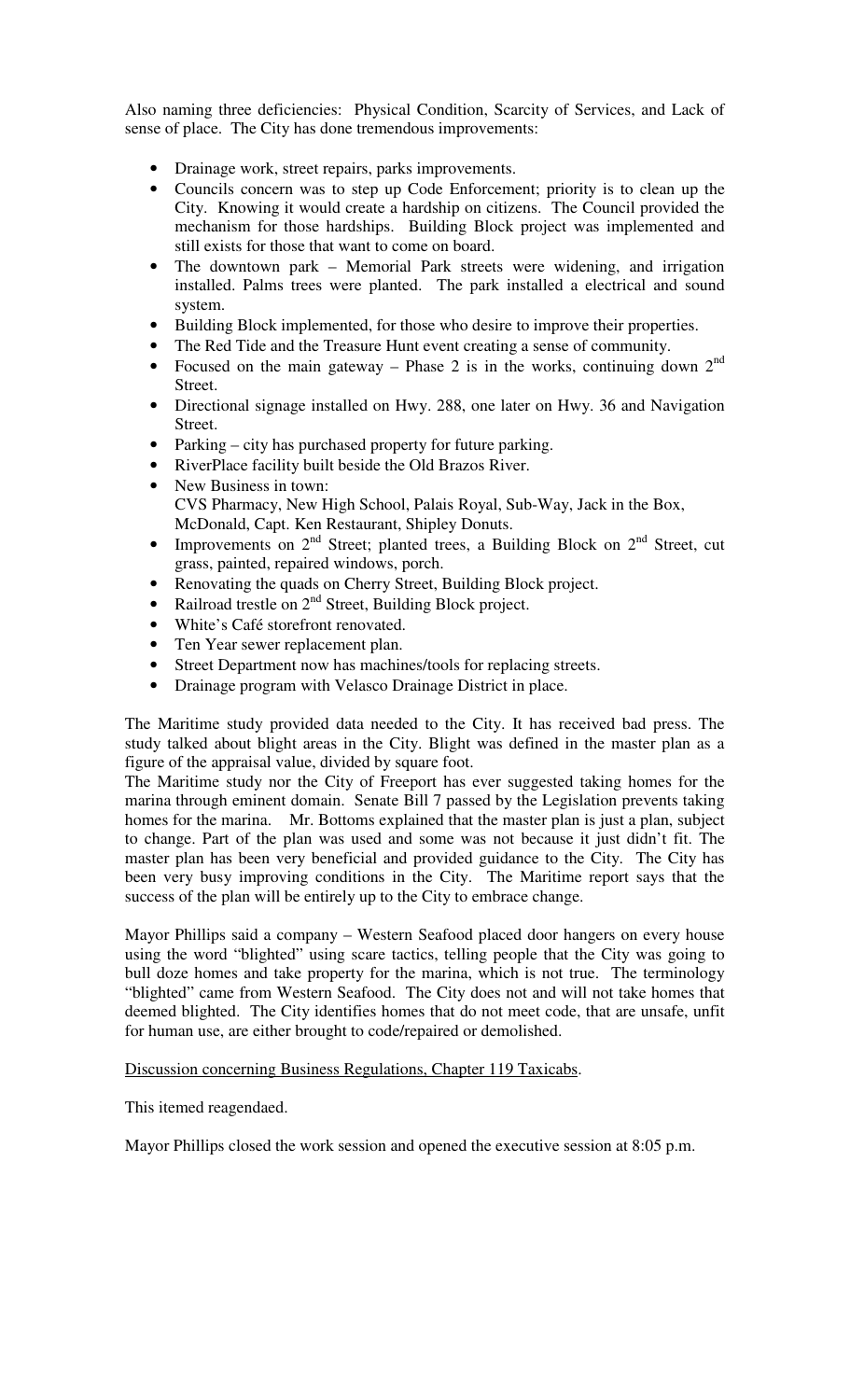Also naming three deficiencies: Physical Condition, Scarcity of Services, and Lack of sense of place. The City has done tremendous improvements:

- Drainage work, street repairs, parks improvements.
- Councils concern was to step up Code Enforcement; priority is to clean up the City. Knowing it would create a hardship on citizens. The Council provided the mechanism for those hardships. Building Block project was implemented and still exists for those that want to come on board.
- The downtown park Memorial Park streets were widening, and irrigation installed. Palms trees were planted. The park installed a electrical and sound system.
- Building Block implemented, for those who desire to improve their properties.
- The Red Tide and the Treasure Hunt event creating a sense of community.
- Focused on the main gateway Phase 2 is in the works, continuing down  $2^{nd}$ Street.
- Directional signage installed on Hwy. 288, one later on Hwy. 36 and Navigation Street.
- Parking city has purchased property for future parking.
- RiverPlace facility built beside the Old Brazos River.
- New Business in town: CVS Pharmacy, New High School, Palais Royal, Sub-Way, Jack in the Box, McDonald, Capt. Ken Restaurant, Shipley Donuts.
- Improvements on  $2^{nd}$  Street; planted trees, a Building Block on  $2^{nd}$  Street, cut grass, painted, repaired windows, porch.
- Renovating the quads on Cherry Street, Building Block project.
- Railroad trestle on  $2^{nd}$  Street, Building Block project.
- White's Café storefront renovated.
- Ten Year sewer replacement plan.
- Street Department now has machines/tools for replacing streets.
- Drainage program with Velasco Drainage District in place.

The Maritime study provided data needed to the City. It has received bad press. The study talked about blight areas in the City. Blight was defined in the master plan as a figure of the appraisal value, divided by square foot.

The Maritime study nor the City of Freeport has ever suggested taking homes for the marina through eminent domain. Senate Bill 7 passed by the Legislation prevents taking homes for the marina. Mr. Bottoms explained that the master plan is just a plan, subject to change. Part of the plan was used and some was not because it just didn't fit. The master plan has been very beneficial and provided guidance to the City. The City has been very busy improving conditions in the City. The Maritime report says that the success of the plan will be entirely up to the City to embrace change.

Mayor Phillips said a company – Western Seafood placed door hangers on every house using the word "blighted" using scare tactics, telling people that the City was going to bull doze homes and take property for the marina, which is not true. The terminology "blighted" came from Western Seafood. The City does not and will not take homes that deemed blighted. The City identifies homes that do not meet code, that are unsafe, unfit for human use, are either brought to code/repaired or demolished.

Discussion concerning Business Regulations, Chapter 119 Taxicabs.

This itemed reagendaed.

Mayor Phillips closed the work session and opened the executive session at 8:05 p.m.